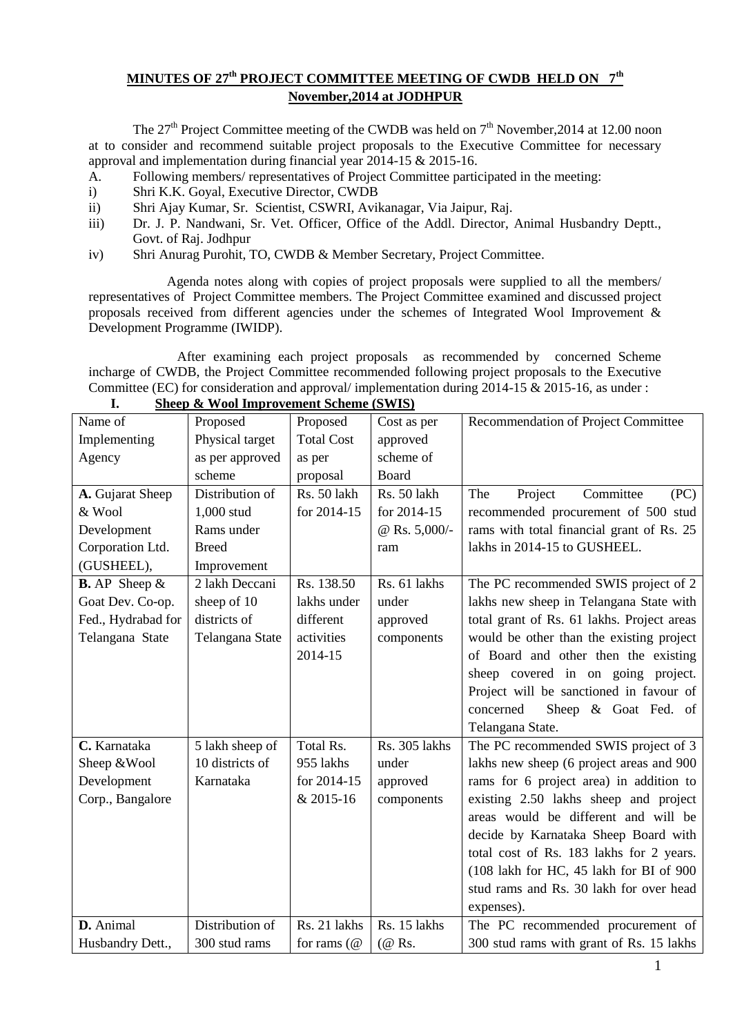## **MINUTES OF 27th PROJECT COMMITTEE MEETING OF CWDB HELD ON 7th November,2014 at JODHPUR**

The  $27<sup>th</sup>$  Project Committee meeting of the CWDB was held on  $7<sup>th</sup>$  November, 2014 at 12.00 noon at to consider and recommend suitable project proposals to the Executive Committee for necessary approval and implementation during financial year 2014-15 & 2015-16.

- A. Following members/ representatives of Project Committee participated in the meeting:
- i) Shri K.K. Goyal, Executive Director, CWDB
- ii) Shri Ajay Kumar, Sr. Scientist, CSWRI, Avikanagar, Via Jaipur, Raj.
- iii) Dr. J. P. Nandwani, Sr. Vet. Officer, Office of the Addl. Director, Animal Husbandry Deptt., Govt. of Raj. Jodhpur
- iv) Shri Anurag Purohit, TO, CWDB & Member Secretary, Project Committee.

 Agenda notes along with copies of project proposals were supplied to all the members/ representatives of Project Committee members. The Project Committee examined and discussed project proposals received from different agencies under the schemes of Integrated Wool Improvement & Development Programme (IWIDP).

After examining each project proposals as recommended by concerned Scheme incharge of CWDB, the Project Committee recommended following project proposals to the Executive Committee (EC) for consideration and approval/ implementation during 2014-15 & 2015-16, as under :

| $\mathbf{C}$ and $\mathbf{C}$ are $\mathbf{C}$ and $\mathbf{C}$ are $\mathbf{C}$ and $\mathbf{C}$ are $\mathbf{C}$ and $\mathbf{C}$ are $\mathbf{C}$ and $\mathbf{C}$ are $\mathbf{C}$ and $\mathbf{C}$ are $\mathbf{C}$ and $\mathbf{C}$ are $\mathbf{C}$ and $\mathbf{C}$ are $\mathbf{C}$ and |                 |                     |                 |                                            |  |  |  |  |  |  |  |
|--------------------------------------------------------------------------------------------------------------------------------------------------------------------------------------------------------------------------------------------------------------------------------------------------|-----------------|---------------------|-----------------|--------------------------------------------|--|--|--|--|--|--|--|
| Name of                                                                                                                                                                                                                                                                                          | Proposed        | Proposed            | Cost as per     | Recommendation of Project Committee        |  |  |  |  |  |  |  |
| Implementing                                                                                                                                                                                                                                                                                     | Physical target | <b>Total Cost</b>   | approved        |                                            |  |  |  |  |  |  |  |
| Agency                                                                                                                                                                                                                                                                                           | as per approved | as per              | scheme of       |                                            |  |  |  |  |  |  |  |
|                                                                                                                                                                                                                                                                                                  | scheme          | proposal            | Board           |                                            |  |  |  |  |  |  |  |
| A. Gujarat Sheep                                                                                                                                                                                                                                                                                 | Distribution of | Rs. 50 lakh         | Rs. 50 lakh     | Project<br>Committee<br>The<br>(PC)        |  |  |  |  |  |  |  |
| & Wool                                                                                                                                                                                                                                                                                           | 1,000 stud      | for 2014-15         | for 2014-15     | recommended procurement of 500 stud        |  |  |  |  |  |  |  |
| Development                                                                                                                                                                                                                                                                                      | Rams under      |                     | @ Rs. $5,000/-$ | rams with total financial grant of Rs. 25  |  |  |  |  |  |  |  |
| Corporation Ltd.                                                                                                                                                                                                                                                                                 | <b>Breed</b>    |                     | ram             | lakhs in 2014-15 to GUSHEEL.               |  |  |  |  |  |  |  |
| (GUSHEEL),                                                                                                                                                                                                                                                                                       | Improvement     |                     |                 |                                            |  |  |  |  |  |  |  |
| <b>B.</b> AP Sheep $\&$                                                                                                                                                                                                                                                                          | 2 lakh Deccani  | Rs. 138.50          | Rs. 61 lakhs    | The PC recommended SWIS project of 2       |  |  |  |  |  |  |  |
| Goat Dev. Co-op.                                                                                                                                                                                                                                                                                 | sheep of 10     | lakhs under         | under           | lakhs new sheep in Telangana State with    |  |  |  |  |  |  |  |
| Fed., Hydrabad for                                                                                                                                                                                                                                                                               | districts of    | different           | approved        | total grant of Rs. 61 lakhs. Project areas |  |  |  |  |  |  |  |
| Telangana State                                                                                                                                                                                                                                                                                  | Telangana State | activities          | components      | would be other than the existing project   |  |  |  |  |  |  |  |
|                                                                                                                                                                                                                                                                                                  |                 | 2014-15             |                 | of Board and other then the existing       |  |  |  |  |  |  |  |
|                                                                                                                                                                                                                                                                                                  |                 |                     |                 | sheep covered in on going project.         |  |  |  |  |  |  |  |
|                                                                                                                                                                                                                                                                                                  |                 |                     |                 | Project will be sanctioned in favour of    |  |  |  |  |  |  |  |
|                                                                                                                                                                                                                                                                                                  |                 |                     |                 | Sheep & Goat Fed. of<br>concerned          |  |  |  |  |  |  |  |
|                                                                                                                                                                                                                                                                                                  |                 |                     |                 | Telangana State.                           |  |  |  |  |  |  |  |
| C. Karnataka                                                                                                                                                                                                                                                                                     | 5 lakh sheep of | Total Rs.           | Rs. 305 lakhs   | The PC recommended SWIS project of 3       |  |  |  |  |  |  |  |
| Sheep & Wool                                                                                                                                                                                                                                                                                     | 10 districts of | 955 lakhs           | under           | lakhs new sheep (6 project areas and 900   |  |  |  |  |  |  |  |
| Development                                                                                                                                                                                                                                                                                      | Karnataka       | for 2014-15         | approved        | rams for 6 project area) in addition to    |  |  |  |  |  |  |  |
| Corp., Bangalore                                                                                                                                                                                                                                                                                 |                 | & 2015-16           | components      | existing 2.50 lakhs sheep and project      |  |  |  |  |  |  |  |
|                                                                                                                                                                                                                                                                                                  |                 |                     |                 | areas would be different and will be       |  |  |  |  |  |  |  |
|                                                                                                                                                                                                                                                                                                  |                 |                     |                 | decide by Karnataka Sheep Board with       |  |  |  |  |  |  |  |
|                                                                                                                                                                                                                                                                                                  |                 |                     |                 | total cost of Rs. 183 lakhs for 2 years.   |  |  |  |  |  |  |  |
|                                                                                                                                                                                                                                                                                                  |                 |                     |                 | (108 lakh for HC, 45 lakh for BI of 900    |  |  |  |  |  |  |  |
|                                                                                                                                                                                                                                                                                                  |                 |                     |                 | stud rams and Rs. 30 lakh for over head    |  |  |  |  |  |  |  |
|                                                                                                                                                                                                                                                                                                  |                 |                     |                 | expenses).                                 |  |  |  |  |  |  |  |
| D. Animal                                                                                                                                                                                                                                                                                        | Distribution of | Rs. 21 lakhs        | Rs. 15 lakhs    | The PC recommended procurement of          |  |  |  |  |  |  |  |
| Husbandry Dett.,                                                                                                                                                                                                                                                                                 | 300 stud rams   | for rams $(\omega)$ | (@ Rs.          | 300 stud rams with grant of Rs. 15 lakhs   |  |  |  |  |  |  |  |

**I. Sheep & Wool Improvement Scheme (SWIS)**